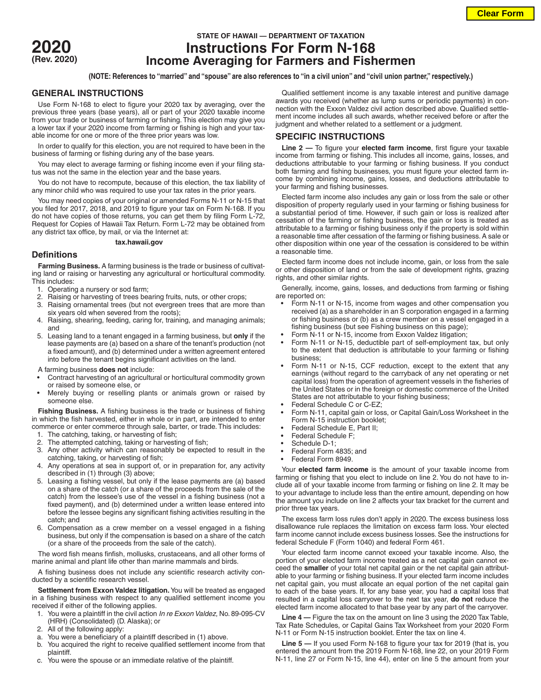

# **STATE OF HAWAII — DEPARTMENT OF TAXATION 2020 Instructions For Form N-168 (Rev. 2020) Income Averaging for Farmers and Fishermen**

**(NOTE: References to "married" and "spouse" are also references to "in a civil union" and "civil union partner," respectively.)**

### **GENERAL INSTRUCTIONS**

Use Form N-168 to elect to figure your 2020 tax by averaging, over the previous three years (base years), all or part of your 2020 taxable income from your trade or business of farming or fishing. This election may give you a lower tax if your 2020 income from farming or fishing is high and your taxable income for one or more of the three prior years was low.

In order to qualify for this election, you are not required to have been in the business of farming or fishing during any of the base years.

You may elect to average farming or fishing income even if your filing status was not the same in the election year and the base years.

You do not have to recompute, because of this election, the tax liability of any minor child who was required to use your tax rates in the prior years.

You may need copies of your original or amended Forms N-11 or N-15 that you filed for 2017, 2018, and 2019 to figure your tax on Form N-168. If you do not have copies of those returns, you can get them by filing Form L-72, Request for Copies of Hawaii Tax Return. Form L-72 may be obtained from any district tax office, by mail, or via the Internet at:

#### **tax.hawaii.gov**

## **Definitions**

**Farming Business.** A farming business is the trade or business of cultivating land or raising or harvesting any agricultural or horticultural commodity. This includes:

- 1. Operating a nursery or sod farm;
- 2. Raising or harvesting of trees bearing fruits, nuts, or other crops;
- Raising ornamental trees (but not evergreen trees that are more than six years old when severed from the roots);
- 4. Raising, shearing, feeding, caring for, training, and managing animals; and
- 5. Leasing land to a tenant engaged in a farming business, but **only** if the lease payments are (a) based on a share of the tenant's production (not a fixed amount), and (b) determined under a written agreement entered into before the tenant begins significant activities on the land.
- A farming business **does not** include:
- Contract harvesting of an agricultural or horticultural commodity grown or raised by someone else, or
- Merely buying or reselling plants or animals grown or raised by someone else.

**Fishing Business.** A fishing business is the trade or business of fishing in which the fish harvested, either in whole or in part, are intended to enter commerce or enter commerce through sale, barter, or trade. This includes:

- 1. The catching, taking, or harvesting of fish;
- The attempted catching, taking or harvesting of fish;
- 3. Any other activity which can reasonably be expected to result in the catching, taking, or harvesting of fish;
- 4. Any operations at sea in support of, or in preparation for, any activity described in (1) through (3) above;
- 5. Leasing a fishing vessel, but only if the lease payments are (a) based on a share of the catch (or a share of the proceeds from the sale of the catch) from the lessee's use of the vessel in a fishing business (not a fixed payment), and (b) determined under a written lease entered into before the lessee begins any significant fishing activities resulting in the catch; and
- 6. Compensation as a crew member on a vessel engaged in a fishing business, but only if the compensation is based on a share of the catch (or a share of the proceeds from the sale of the catch).

The word fish means finfish, mollusks, crustaceans, and all other forms of marine animal and plant life other than marine mammals and birds.

A fishing business does not include any scientific research activity conducted by a scientific research vessel.

**Settlement from Exxon Valdez litigation.** You will be treated as engaged in a fishing business with respect to any qualified settlement income you received if either of the following applies.

- 1. You were a plaintiff in the civil action *In re Exxon Valdez*, No. 89-095-CV (HRH) (Consolidated) (D. Alaska); or
- 2. All of the following apply:
- a. You were a beneficiary of a plaintiff described in (1) above.
- b. You acquired the right to receive qualified settlement income from that plaintiff.
- c. You were the spouse or an immediate relative of the plaintiff.

Qualified settlement income is any taxable interest and punitive damage awards you received (whether as lump sums or periodic payments) in connection with the Exxon Valdez civil action described above. Qualified settlement income includes all such awards, whether received before or after the judgment and whether related to a settlement or a judgment.

## **SPECIFIC INSTRUCTIONS**

**Line 2 —** To figure your **elected farm income**, first figure your taxable income from farming or fishing. This includes all income, gains, losses, and deductions attributable to your farming or fishing business. If you conduct both farming and fishing businesses, you must figure your elected farm income by combining income, gains, losses, and deductions attributable to your farming and fishing businesses.

Elected farm income also includes any gain or loss from the sale or other disposition of property regularly used in your farming or fishing business for a substantial period of time. However, if such gain or loss is realized after cessation of the farming or fishing business, the gain or loss is treated as attributable to a farming or fishing business only if the property is sold within a reasonable time after cessation of the farming or fishing business. A sale or other disposition within one year of the cessation is considered to be within a reasonable time.

Elected farm income does not include income, gain, or loss from the sale or other disposition of land or from the sale of development rights, grazing rights, and other similar rights.

Generally, income, gains, losses, and deductions from farming or fishing are reported on:

- Form N-11 or N-15, income from wages and other compensation you received (a) as a shareholder in an S corporation engaged in a farming or fishing business or (b) as a crew member on a vessel engaged in a fishing business (but see Fishing business on this page);
- Form N-11 or N-15, income from Exxon Valdez litigation;
- Form N-11 or N-15, deductible part of self-employment tax, but only to the extent that deduction is attributable to your farming or fishing business;
- Form N-11 or N-15, CCF reduction, except to the extent that any earnings (without regard to the carryback of any net operating or net capital loss) from the operation of agreement vessels in the fisheries of the United States or in the foreign or domestic commerce of the United States are not attributable to your fishing business;
- Federal Schedule C or C-EZ;
- Form N-11, capital gain or loss, or Capital Gain/Loss Worksheet in the Form N-15 instruction booklet;
- Federal Schedule E, Part II;
- Federal Schedule F;
- Schedule D-1;
- Federal Form 4835; and
- Federal Form 8949.

Your **elected farm income** is the amount of your taxable income from farming or fishing that you elect to include on line 2. You do not have to include all of your taxable income from farming or fishing on line 2. It may be to your advantage to include less than the entire amount, depending on how the amount you include on line 2 affects your tax bracket for the current and prior three tax years.

The excess farm loss rules don't apply in 2020. The excess business loss disallowance rule replaces the limitation on excess farm loss. Your elected farm income cannot include excess business losses. See the instructions for federal Schedule F (Form 1040) and federal Form 461.

Your elected farm income cannot exceed your taxable income. Also, the portion of your elected farm income treated as a net capital gain cannot exceed the **smaller** of your total net capital gain or the net capital gain attributable to your farming or fishing business. If your elected farm income includes net capital gain, you must allocate an equal portion of the net capital gain to each of the base years. If, for any base year, you had a capital loss that resulted in a capital loss carryover to the next tax year, **do not** reduce the elected farm income allocated to that base year by any part of the carryover.

**Line 4 —** Figure the tax on the amount on line 3 using the 2020 Tax Table, Tax Rate Schedules, or Capital Gains Tax Worksheet from your 2020 Form N-11 or Form N-15 instruction booklet. Enter the tax on line 4.

**Line 5 —** If you used Form N-168 to figure your tax for 2019 (that is, you entered the amount from the 2019 Form N-168, line 22, on your 2019 Form N-11, line 27 or Form N-15, line 44), enter on line 5 the amount from your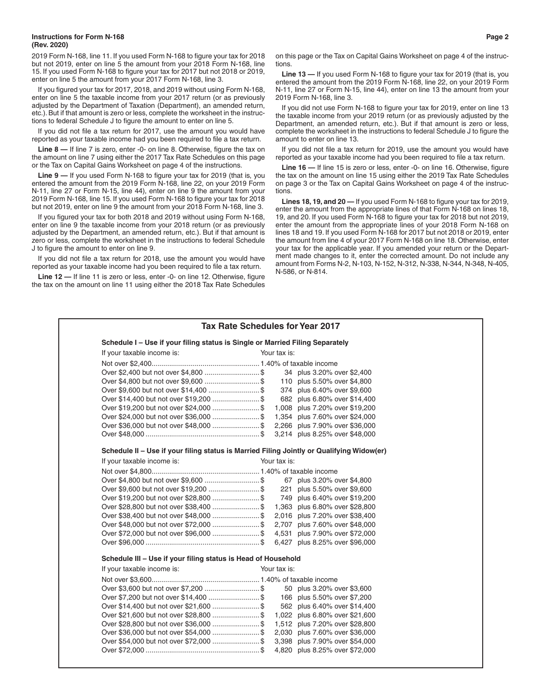#### **Instructions for Form N-168 Page 2 (Rev. 2020)**

2019 Form N-168, line 11. If you used Form N-168 to figure your tax for 2018 but not 2019, enter on line 5 the amount from your 2018 Form N-168, line 15. If you used Form N-168 to figure your tax for 2017 but not 2018 or 2019, enter on line 5 the amount from your 2017 Form N-168, line 3.

If you figured your tax for 2017, 2018, and 2019 without using Form N-168, enter on line 5 the taxable income from your 2017 return (or as previously adjusted by the Department of Taxation (Department), an amended return, etc.). But if that amount is zero or less, complete the worksheet in the instructions to federal Schedule J to figure the amount to enter on line 5.

If you did not file a tax return for 2017, use the amount you would have reported as your taxable income had you been required to file a tax return.

**Line 8 —** If line 7 is zero, enter -0- on line 8. Otherwise, figure the tax on the amount on line 7 using either the 2017 Tax Rate Schedules on this page or the Tax on Capital Gains Worksheet on page 4 of the instructions.

**Line 9 —** If you used Form N-168 to figure your tax for 2019 (that is, you entered the amount from the 2019 Form N-168, line 22, on your 2019 Form N-11, line 27 or Form N-15, line 44), enter on line 9 the amount from your 2019 Form N-168, line 15. If you used Form N-168 to figure your tax for 2018 but not 2019, enter on line 9 the amount from your 2018 Form N-168, line 3.

If you figured your tax for both 2018 and 2019 without using Form N-168, enter on line 9 the taxable income from your 2018 return (or as previously adjusted by the Department, an amended return, etc.). But if that amount is zero or less, complete the worksheet in the instructions to federal Schedule J to figure the amount to enter on line 9.

If you did not file a tax return for 2018, use the amount you would have reported as your taxable income had you been required to file a tax return.

**Line 12 —** If line 11 is zero or less, enter -0- on line 12. Otherwise, figure the tax on the amount on line 11 using either the 2018 Tax Rate Schedules on this page or the Tax on Capital Gains Worksheet on page 4 of the instructions.

**Line 13 —** If you used Form N-168 to figure your tax for 2019 (that is, you entered the amount from the 2019 Form N-168, line 22, on your 2019 Form N-11, line 27 or Form N-15, line 44), enter on line 13 the amount from your 2019 Form N-168, line 3.

If you did not use Form N-168 to figure your tax for 2019, enter on line 13 the taxable income from your 2019 return (or as previously adjusted by the Department, an amended return, etc.). But if that amount is zero or less, complete the worksheet in the instructions to federal Schedule J to figure the amount to enter on line 13.

If you did not file a tax return for 2019, use the amount you would have reported as your taxable income had you been required to file a tax return.

**Line 16 —** If line 15 is zero or less, enter -0- on line 16. Otherwise, figure the tax on the amount on line 15 using either the 2019 Tax Rate Schedules on page 3 or the Tax on Capital Gains Worksheet on page 4 of the instructions.

**Lines 18, 19, and 20 —** If you used Form N-168 to figure your tax for 2019, enter the amount from the appropriate lines of that Form N-168 on lines 18, 19, and 20. If you used Form N-168 to figure your tax for 2018 but not 2019, enter the amount from the appropriate lines of your 2018 Form N-168 on lines 18 and 19. If you used Form N-168 for 2017 but not 2018 or 2019, enter the amount from line 4 of your 2017 Form N-168 on line 18. Otherwise, enter your tax for the applicable year. If you amended your return or the Department made changes to it, enter the corrected amount. Do not include any amount from Forms N-2, N-103, N-152, N-312, N-338, N-344, N-348, N-405, N-586, or N-814.

| Tax Rate Schedules for Year 2017                                                          |  |              |                                |  |  |  |
|-------------------------------------------------------------------------------------------|--|--------------|--------------------------------|--|--|--|
| Schedule I - Use if your filing status is Single or Married Filing Separately             |  |              |                                |  |  |  |
| If your taxable income is:                                                                |  | Your tax is: |                                |  |  |  |
|                                                                                           |  |              |                                |  |  |  |
| Over \$2,400 but not over \$4,800  \$                                                     |  |              | 34 plus 3.20% over \$2,400     |  |  |  |
|                                                                                           |  |              | 110 plus 5.50% over \$4,800    |  |  |  |
|                                                                                           |  |              | 374 plus 6.40% over \$9,600    |  |  |  |
| Over \$14,400 but not over \$19,200  \$                                                   |  |              | 682 plus 6.80% over \$14,400   |  |  |  |
|                                                                                           |  |              | 1,008 plus 7.20% over \$19,200 |  |  |  |
|                                                                                           |  |              | 1,354 plus 7.60% over \$24,000 |  |  |  |
| Over \$36,000 but not over \$48,000  \$                                                   |  |              | 2,266 plus 7.90% over \$36,000 |  |  |  |
|                                                                                           |  |              | 3,214 plus 8.25% over \$48,000 |  |  |  |
| Schedule II - Use if your filing status is Married Filing Jointly or Qualifying Widow(er) |  |              |                                |  |  |  |
| If your taxable income is:                                                                |  | Your tax is: |                                |  |  |  |
|                                                                                           |  |              |                                |  |  |  |
|                                                                                           |  |              | 67 plus 3.20% over \$4,800     |  |  |  |
|                                                                                           |  |              | 221 plus 5.50% over \$9,600    |  |  |  |
| Over \$19,200 but not over \$28,800 \$ 749 plus 6.40% over \$19,200                       |  |              |                                |  |  |  |
| Over \$28,800 but not over \$38,400  \$ 1,363 plus 6.80% over \$28,800                    |  |              |                                |  |  |  |
| Over \$38,400 but not over \$48,000  \$                                                   |  |              | 2,016 plus 7.20% over \$38,400 |  |  |  |
| Over \$48,000 but not over \$72,000 \$ 2,707 plus 7.60% over \$48,000                     |  |              |                                |  |  |  |
| Over \$72,000 but not over \$96,000  \$                                                   |  |              | 4,531 plus 7.90% over \$72,000 |  |  |  |
|                                                                                           |  |              |                                |  |  |  |
| Schedule III - Use if your filing status is Head of Household                             |  |              |                                |  |  |  |
| If your taxable income is:                                                                |  | Your tax is: |                                |  |  |  |
|                                                                                           |  |              |                                |  |  |  |
|                                                                                           |  |              | 50 plus 3.20% over \$3,600     |  |  |  |
|                                                                                           |  |              | 166 plus 5.50% over \$7,200    |  |  |  |
|                                                                                           |  |              | 562 plus 6.40% over \$14,400   |  |  |  |
| Over \$21,600 but not over \$28,800  \$                                                   |  |              | 1,022 plus 6.80% over \$21,600 |  |  |  |
| Over \$28,800 but not over \$36,000  \$                                                   |  |              | 1,512 plus 7.20% over \$28,800 |  |  |  |
| Over \$36,000 but not over \$54,000 \$ 2,030 plus 7.60% over \$36,000                     |  |              |                                |  |  |  |
| Over \$54,000 but not over \$72,000 \$ 3,398 plus 7.90% over \$54,000                     |  |              |                                |  |  |  |
|                                                                                           |  |              | 4,820 plus 8.25% over \$72,000 |  |  |  |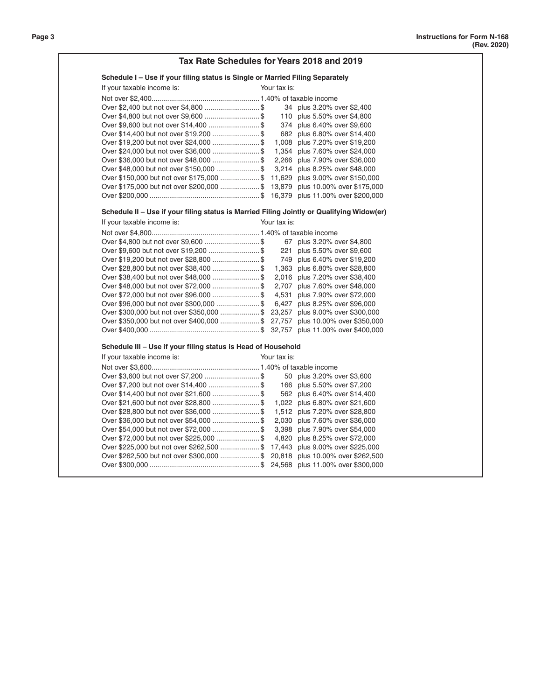| Tax Rate Schedules for Years 2018 and 2019                                                |              |                                |  |  |  |  |  |
|-------------------------------------------------------------------------------------------|--------------|--------------------------------|--|--|--|--|--|
| Schedule I - Use if your filing status is Single or Married Filing Separately             |              |                                |  |  |  |  |  |
| If your taxable income is:                                                                | Your tax is: |                                |  |  |  |  |  |
|                                                                                           |              |                                |  |  |  |  |  |
|                                                                                           |              | 34 plus 3.20% over \$2,400     |  |  |  |  |  |
|                                                                                           |              | 110 plus 5.50% over \$4,800    |  |  |  |  |  |
| Over \$9,600 but not over \$14,400  \$                                                    |              | 374 plus 6.40% over \$9,600    |  |  |  |  |  |
| Over \$14,400 but not over \$19,200  \$                                                   |              | 682 plus 6.80% over \$14,400   |  |  |  |  |  |
| Over \$19,200 but not over \$24,000  \$                                                   |              | 1,008 plus 7.20% over \$19,200 |  |  |  |  |  |
|                                                                                           |              | 1,354 plus 7.60% over \$24,000 |  |  |  |  |  |
| Over \$36,000 but not over \$48,000  \$                                                   |              | 2,266 plus 7.90% over \$36,000 |  |  |  |  |  |
| Over \$48,000 but not over \$150,000  \$                                                  |              | 3,214 plus 8.25% over \$48,000 |  |  |  |  |  |
| Over \$150,000 but not over \$175,000  \$ 11,629 plus 9.00% over \$150,000                |              |                                |  |  |  |  |  |
| Over \$175,000 but not over \$200,000  \$ 13,879 plus 10.00% over \$175,000               |              |                                |  |  |  |  |  |
|                                                                                           |              |                                |  |  |  |  |  |
| Schedule II - Use if your filing status is Married Filing Jointly or Qualifying Widow(er) |              |                                |  |  |  |  |  |
| If your taxable income is:                                                                | Your tax is: |                                |  |  |  |  |  |
|                                                                                           |              |                                |  |  |  |  |  |
|                                                                                           |              | 67 plus 3.20% over \$4,800     |  |  |  |  |  |
|                                                                                           |              | 221 plus 5.50% over \$9,600    |  |  |  |  |  |
|                                                                                           |              | 749 plus 6.40% over \$19,200   |  |  |  |  |  |
|                                                                                           |              | 1,363 plus 6.80% over \$28,800 |  |  |  |  |  |
| Over \$38,400 but not over \$48,000  \$                                                   |              | 2,016 plus 7.20% over \$38,400 |  |  |  |  |  |
| Over \$48,000 but not over \$72,000  \$                                                   |              | 2,707 plus 7.60% over \$48,000 |  |  |  |  |  |
| Over \$72,000 but not over \$96,000  \$                                                   |              | 4,531 plus 7.90% over \$72,000 |  |  |  |  |  |
| Over \$96,000 but not over \$300,000 \$ 6,427 plus 8.25% over \$96,000                    |              |                                |  |  |  |  |  |
| Over \$300,000 but not over \$350,000 \$ 23,257 plus 9.00% over \$300,000                 |              |                                |  |  |  |  |  |
| Over \$350,000 but not over \$400,000  \$ 27,757 plus 10.00% over \$350,000               |              |                                |  |  |  |  |  |
|                                                                                           |              |                                |  |  |  |  |  |
| Schedule III - Use if your filing status is Head of Household                             |              |                                |  |  |  |  |  |
| If your taxable income is:                                                                | Your tax is: |                                |  |  |  |  |  |
|                                                                                           |              |                                |  |  |  |  |  |
|                                                                                           |              | 50 plus 3.20% over \$3,600     |  |  |  |  |  |
| Over \$7,200 but not over \$14,400  \$                                                    |              | 166 plus 5.50% over \$7,200    |  |  |  |  |  |
|                                                                                           |              | 562 plus 6.40% over \$14,400   |  |  |  |  |  |
|                                                                                           |              | 1,022 plus 6.80% over \$21,600 |  |  |  |  |  |
|                                                                                           |              | 1,512 plus 7.20% over \$28,800 |  |  |  |  |  |
|                                                                                           |              | 2,030 plus 7.60% over \$36,000 |  |  |  |  |  |
| Over \$54,000 but not over \$72,000  \$                                                   |              | 3,398 plus 7.90% over \$54,000 |  |  |  |  |  |
|                                                                                           |              | 4,820 plus 8.25% over \$72,000 |  |  |  |  |  |
| Over \$225,000 but not over \$262,500 \$ 17,443 plus 9.00% over \$225,000                 |              |                                |  |  |  |  |  |
| Over \$262,500 but not over \$300,000  \$ 20,818 plus 10.00% over \$262,500               |              |                                |  |  |  |  |  |
|                                                                                           |              |                                |  |  |  |  |  |